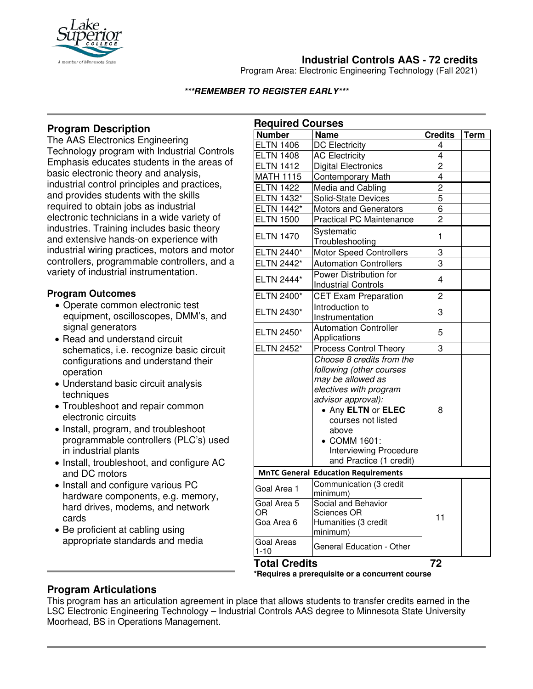

# **Industrial Controls AAS - 72 credits**

Program Area: Electronic Engineering Technology (Fall 2021)

#### **\*\*\*REMEMBER TO REGISTER EARLY\*\*\***

### **Program Description**

The AAS Electronics Engineering Technology program with Industrial Controls Emphasis educates students in the areas of basic electronic theory and analysis, industrial control principles and practices, and provides students with the skills required to obtain jobs as industrial electronic technicians in a wide variety of industries. Training includes basic theory and extensive hands-on experience with industrial wiring practices, motors and motor controllers, programmable controllers, and a variety of industrial instrumentation.

### **Program Outcomes**

- Operate common electronic test equipment, oscilloscopes, DMM's, and signal generators
- Read and understand circuit schematics, i.e. recognize basic circuit configurations and understand their operation
- Understand basic circuit analysis techniques
- Troubleshoot and repair common electronic circuits
- Install, program, and troubleshoot programmable controllers (PLC's) used in industrial plants
- Install, troubleshoot, and configure AC and DC motors
- Install and configure various PC hardware components, e.g. memory, hard drives, modems, and network cards
- Be proficient at cabling using appropriate standards and media

| <b>Required Courses</b>         |                                                                                                                                                                                                                                                             |                         |      |
|---------------------------------|-------------------------------------------------------------------------------------------------------------------------------------------------------------------------------------------------------------------------------------------------------------|-------------------------|------|
| <b>Number</b>                   | <b>Name</b>                                                                                                                                                                                                                                                 | <b>Credits</b>          | Term |
| <b>ELTN 1406</b>                | <b>DC Electricity</b>                                                                                                                                                                                                                                       | 4                       |      |
| <b>ELTN 1408</b>                | <b>AC Electricity</b>                                                                                                                                                                                                                                       | $\overline{4}$          |      |
| <b>ELTN 1412</b>                | <b>Digital Electronics</b>                                                                                                                                                                                                                                  | $\overline{2}$          |      |
| <b>MATH 1115</b>                | <b>Contemporary Math</b>                                                                                                                                                                                                                                    | $\overline{\mathbf{4}}$ |      |
| <b>ELTN 1422</b>                | Media and Cabling                                                                                                                                                                                                                                           | $\overline{2}$          |      |
| <b>ELTN 1432*</b>               | Solid-State Devices                                                                                                                                                                                                                                         | 5                       |      |
| <b>ELTN 1442*</b>               | <b>Motors and Generators</b>                                                                                                                                                                                                                                | $\overline{6}$          |      |
| <b>ELTN 1500</b>                | <b>Practical PC Maintenance</b>                                                                                                                                                                                                                             | $\overline{2}$          |      |
| <b>ELTN 1470</b>                | Svstematic<br>Troubleshooting                                                                                                                                                                                                                               | 1                       |      |
| ELTN 2440*                      | <b>Motor Speed Controllers</b>                                                                                                                                                                                                                              | 3                       |      |
| ELTN 2442*                      | <b>Automation Controllers</b>                                                                                                                                                                                                                               | 3                       |      |
| ELTN 2444*                      | Power Distribution for<br><b>Industrial Controls</b>                                                                                                                                                                                                        | 4                       |      |
| ELTN 2400*                      | <b>CET Exam Preparation</b>                                                                                                                                                                                                                                 | $\overline{c}$          |      |
| ELTN 2430*                      | Introduction to<br>Instrumentation                                                                                                                                                                                                                          | 3                       |      |
| ELTN 2450*                      | <b>Automation Controller</b><br>Applications                                                                                                                                                                                                                | 5                       |      |
| ELTN 2452*                      | <b>Process Control Theory</b>                                                                                                                                                                                                                               | 3                       |      |
|                                 | Choose 8 credits from the<br>following (other courses<br>may be allowed as<br>electives with program<br>advisor approval):<br>• Any ELTN or ELEC<br>courses not listed<br>above<br>• COMM 1601:<br><b>Interviewing Procedure</b><br>and Practice (1 credit) | 8                       |      |
|                                 | <b>MnTC General Education Requirements</b>                                                                                                                                                                                                                  |                         |      |
| Goal Area 1                     | Communication (3 credit<br>minimum)                                                                                                                                                                                                                         | 11                      |      |
| Goal Area 5<br>ΟR<br>Goa Area 6 | Social and Behavior<br><b>Sciences OR</b><br>Humanities (3 credit                                                                                                                                                                                           |                         |      |
| <b>Goal Areas</b><br>$1 - 10$   | minimum)<br>General Education - Other                                                                                                                                                                                                                       |                         |      |
| <b>Total Credits</b>            |                                                                                                                                                                                                                                                             | 72                      |      |

**\*Requires a prerequisite or a concurrent course**

### **Program Articulations**

This program has an articulation agreement in place that allows students to transfer credits earned in the LSC Electronic Engineering Technology – Industrial Controls AAS degree to Minnesota State University Moorhead, BS in Operations Management.